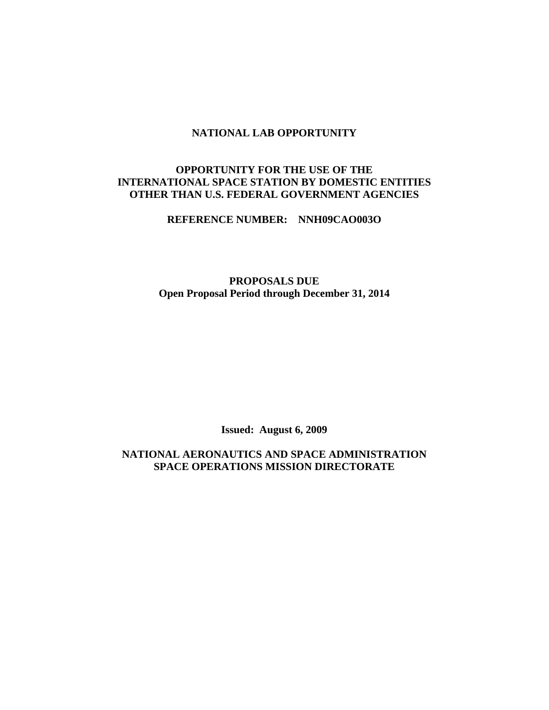#### **NATIONAL LAB OPPORTUNITY**

## **OPPORTUNITY FOR THE USE OF THE INTERNATIONAL SPACE STATION BY DOMESTIC ENTITIES OTHER THAN U.S. FEDERAL GOVERNMENT AGENCIES**

**REFERENCE NUMBER: NNH09CAO003O** 

**PROPOSALS DUE Open Proposal Period through December 31, 2014** 

**Issued: August 6, 2009** 

**NATIONAL AERONAUTICS AND SPACE ADMINISTRATION SPACE OPERATIONS MISSION DIRECTORATE**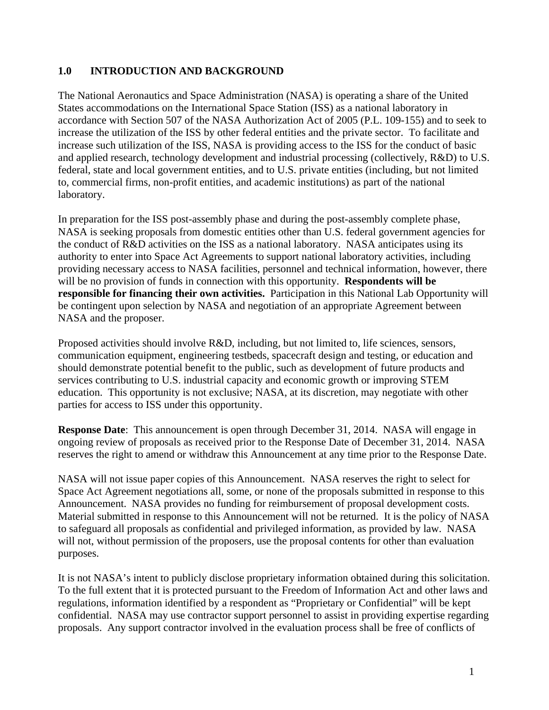# **1.0 INTRODUCTION AND BACKGROUND**

The National Aeronautics and Space Administration (NASA) is operating a share of the United States accommodations on the International Space Station (ISS) as a national laboratory in accordance with Section 507 of the NASA Authorization Act of 2005 (P.L. 109-155) and to seek to increase the utilization of the ISS by other federal entities and the private sector. To facilitate and increase such utilization of the ISS, NASA is providing access to the ISS for the conduct of basic and applied research, technology development and industrial processing (collectively, R&D) to U.S. federal, state and local government entities, and to U.S. private entities (including, but not limited to, commercial firms, non-profit entities, and academic institutions) as part of the national laboratory.

In preparation for the ISS post-assembly phase and during the post-assembly complete phase, NASA is seeking proposals from domestic entities other than U.S. federal government agencies for the conduct of R&D activities on the ISS as a national laboratory. NASA anticipates using its authority to enter into Space Act Agreements to support national laboratory activities, including providing necessary access to NASA facilities, personnel and technical information, however, there will be no provision of funds in connection with this opportunity. **Respondents will be responsible for financing their own activities.** Participation in this National Lab Opportunity will be contingent upon selection by NASA and negotiation of an appropriate Agreement between NASA and the proposer.

Proposed activities should involve R&D, including, but not limited to, life sciences, sensors, communication equipment, engineering testbeds, spacecraft design and testing, or education and should demonstrate potential benefit to the public, such as development of future products and services contributing to U.S. industrial capacity and economic growth or improving STEM education. This opportunity is not exclusive; NASA, at its discretion, may negotiate with other parties for access to ISS under this opportunity.

**Response Date**: This announcement is open through December 31, 2014. NASA will engage in ongoing review of proposals as received prior to the Response Date of December 31, 2014. NASA reserves the right to amend or withdraw this Announcement at any time prior to the Response Date.

NASA will not issue paper copies of this Announcement. NASA reserves the right to select for Space Act Agreement negotiations all, some, or none of the proposals submitted in response to this Announcement. NASA provides no funding for reimbursement of proposal development costs. Material submitted in response to this Announcement will not be returned. It is the policy of NASA to safeguard all proposals as confidential and privileged information, as provided by law. NASA will not, without permission of the proposers, use the proposal contents for other than evaluation purposes.

It is not NASA's intent to publicly disclose proprietary information obtained during this solicitation. To the full extent that it is protected pursuant to the Freedom of Information Act and other laws and regulations, information identified by a respondent as "Proprietary or Confidential" will be kept confidential. NASA may use contractor support personnel to assist in providing expertise regarding proposals. Any support contractor involved in the evaluation process shall be free of conflicts of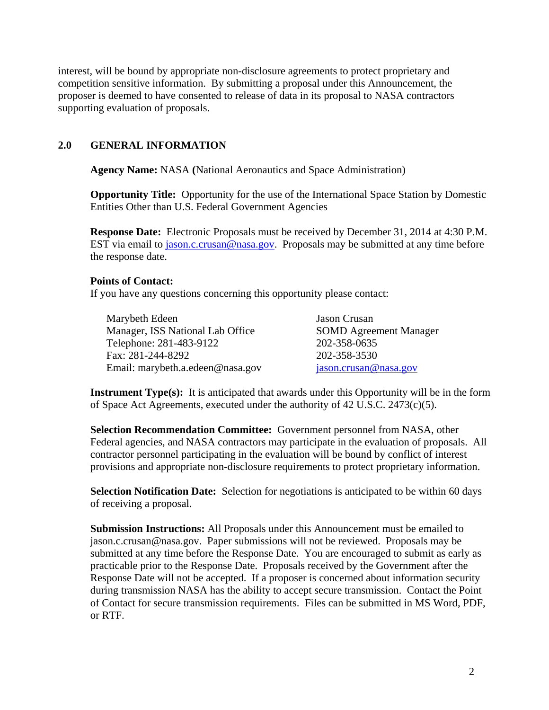interest, will be bound by appropriate non-disclosure agreements to protect proprietary and competition sensitive information. By submitting a proposal under this Announcement, the proposer is deemed to have consented to release of data in its proposal to NASA contractors supporting evaluation of proposals.

#### **2.0 GENERAL INFORMATION**

**Agency Name:** NASA **(**National Aeronautics and Space Administration)

**Opportunity Title:** Opportunity for the use of the International Space Station by Domestic Entities Other than U.S. Federal Government Agencies

**Response Date:** Electronic Proposals must be received by December 31, 2014 at 4:30 P.M. EST via email to jason.c.crusan@nasa.gov. Proposals may be submitted at any time before the response date.

#### **Points of Contact:**

If you have any questions concerning this opportunity please contact:

Marybeth Edeen Jason Crusan Manager, ISS National Lab Office SOMD Agreement Manager Telephone: 281-483-9122 202-358-0635 Fax: 281-244-8292 202-358-3530 Email: marybeth.a.edeen@nasa.gov jason.crusan@nasa.gov

**Instrument Type(s):** It is anticipated that awards under this Opportunity will be in the form of Space Act Agreements, executed under the authority of 42 U.S.C. 2473(c)(5).

**Selection Recommendation Committee:** Government personnel from NASA, other Federal agencies, and NASA contractors may participate in the evaluation of proposals. All contractor personnel participating in the evaluation will be bound by conflict of interest provisions and appropriate non-disclosure requirements to protect proprietary information.

**Selection Notification Date:** Selection for negotiations is anticipated to be within 60 days of receiving a proposal.

**Submission Instructions:** All Proposals under this Announcement must be emailed to jason.c.crusan@nasa.gov. Paper submissions will not be reviewed. Proposals may be submitted at any time before the Response Date. You are encouraged to submit as early as practicable prior to the Response Date. Proposals received by the Government after the Response Date will not be accepted. If a proposer is concerned about information security during transmission NASA has the ability to accept secure transmission. Contact the Point of Contact for secure transmission requirements. Files can be submitted in MS Word, PDF, or RTF.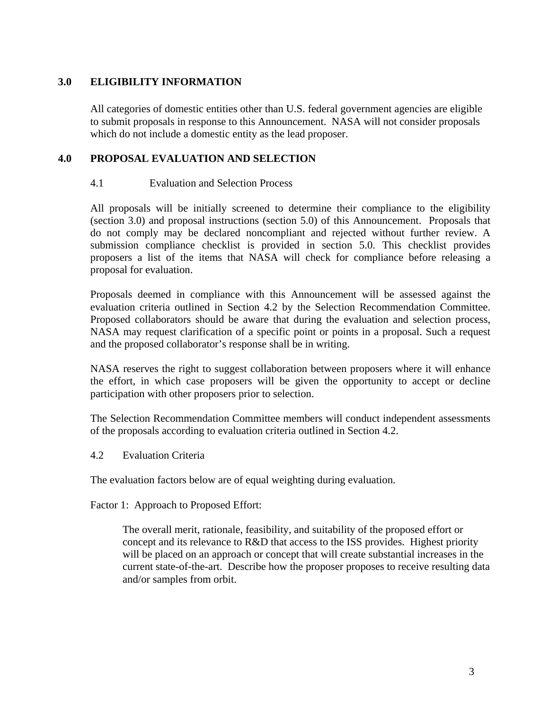# **3.0 ELIGIBILITY INFORMATION**

All categories of domestic entities other than U.S. federal government agencies are eligible to submit proposals in response to this Announcement. NASA will not consider proposals which do not include a domestic entity as the lead proposer.

## **4.0 PROPOSAL EVALUATION AND SELECTION**

### 4.1 Evaluation and Selection Process

All proposals will be initially screened to determine their compliance to the eligibility (section 3.0) and proposal instructions (section 5.0) of this Announcement. Proposals that do not comply may be declared noncompliant and rejected without further review. A submission compliance checklist is provided in section 5.0. This checklist provides proposers a list of the items that NASA will check for compliance before releasing a proposal for evaluation.

Proposals deemed in compliance with this Announcement will be assessed against the evaluation criteria outlined in Section 4.2 by the Selection Recommendation Committee. Proposed collaborators should be aware that during the evaluation and selection process, NASA may request clarification of a specific point or points in a proposal. Such a request and the proposed collaborator's response shall be in writing.

NASA reserves the right to suggest collaboration between proposers where it will enhance the effort, in which case proposers will be given the opportunity to accept or decline participation with other proposers prior to selection.

The Selection Recommendation Committee members will conduct independent assessments of the proposals according to evaluation criteria outlined in Section 4.2.

4.2 Evaluation Criteria

The evaluation factors below are of equal weighting during evaluation.

Factor 1: Approach to Proposed Effort:

The overall merit, rationale, feasibility, and suitability of the proposed effort or concept and its relevance to R&D that access to the ISS provides. Highest priority will be placed on an approach or concept that will create substantial increases in the current state-of-the-art. Describe how the proposer proposes to receive resulting data and/or samples from orbit.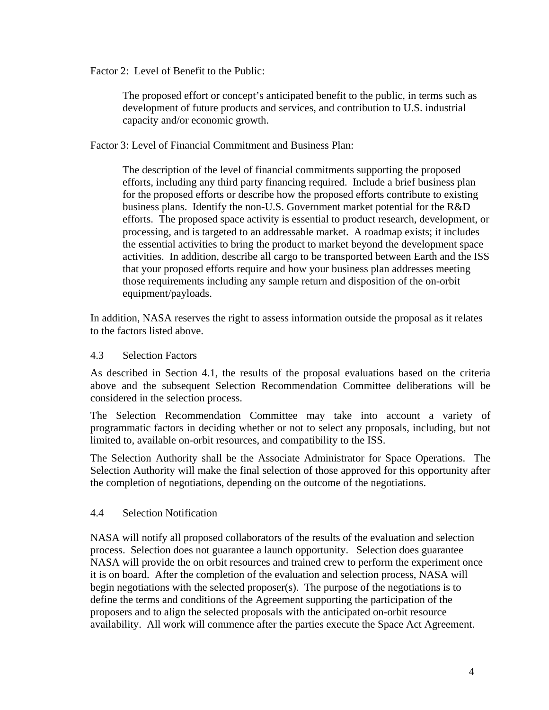Factor 2: Level of Benefit to the Public:

 The proposed effort or concept's anticipated benefit to the public, in terms such as development of future products and services, and contribution to U.S. industrial capacity and/or economic growth.

Factor 3: Level of Financial Commitment and Business Plan:

The description of the level of financial commitments supporting the proposed efforts, including any third party financing required. Include a brief business plan for the proposed efforts or describe how the proposed efforts contribute to existing business plans. Identify the non-U.S. Government market potential for the R&D efforts. The proposed space activity is essential to product research, development, or processing, and is targeted to an addressable market. A roadmap exists; it includes the essential activities to bring the product to market beyond the development space activities. In addition, describe all cargo to be transported between Earth and the ISS that your proposed efforts require and how your business plan addresses meeting those requirements including any sample return and disposition of the on-orbit equipment/payloads.

In addition, NASA reserves the right to assess information outside the proposal as it relates to the factors listed above.

## 4.3 Selection Factors

As described in Section 4.1, the results of the proposal evaluations based on the criteria above and the subsequent Selection Recommendation Committee deliberations will be considered in the selection process.

The Selection Recommendation Committee may take into account a variety of programmatic factors in deciding whether or not to select any proposals, including, but not limited to, available on-orbit resources, and compatibility to the ISS.

The Selection Authority shall be the Associate Administrator for Space Operations. The Selection Authority will make the final selection of those approved for this opportunity after the completion of negotiations, depending on the outcome of the negotiations.

#### 4.4 Selection Notification

NASA will notify all proposed collaborators of the results of the evaluation and selection process. Selection does not guarantee a launch opportunity. Selection does guarantee NASA will provide the on orbit resources and trained crew to perform the experiment once it is on board. After the completion of the evaluation and selection process, NASA will begin negotiations with the selected proposer(s). The purpose of the negotiations is to define the terms and conditions of the Agreement supporting the participation of the proposers and to align the selected proposals with the anticipated on-orbit resource availability. All work will commence after the parties execute the Space Act Agreement.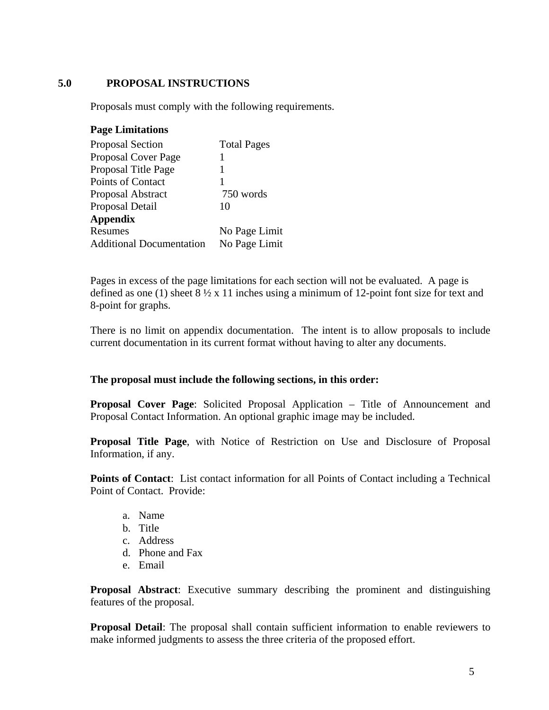## **5.0 PROPOSAL INSTRUCTIONS**

Proposals must comply with the following requirements.

#### **Page Limitations**

| <b>Proposal Section</b>         | <b>Total Pages</b> |
|---------------------------------|--------------------|
| Proposal Cover Page             |                    |
| Proposal Title Page             |                    |
| Points of Contact               |                    |
| <b>Proposal Abstract</b>        | 750 words          |
| Proposal Detail                 | 10                 |
| <b>Appendix</b>                 |                    |
| Resumes                         | No Page Limit      |
| <b>Additional Documentation</b> | No Page Limit      |

Pages in excess of the page limitations for each section will not be evaluated. A page is defined as one (1) sheet 8 ½ x 11 inches using a minimum of 12-point font size for text and 8-point for graphs.

There is no limit on appendix documentation. The intent is to allow proposals to include current documentation in its current format without having to alter any documents.

#### **The proposal must include the following sections, in this order:**

**Proposal Cover Page**: Solicited Proposal Application – Title of Announcement and Proposal Contact Information. An optional graphic image may be included.

**Proposal Title Page**, with Notice of Restriction on Use and Disclosure of Proposal Information, if any.

**Points of Contact**: List contact information for all Points of Contact including a Technical Point of Contact. Provide:

- a. Name
- b. Title
- c. Address
- d. Phone and Fax
- e. Email

**Proposal Abstract**: Executive summary describing the prominent and distinguishing features of the proposal.

**Proposal Detail**: The proposal shall contain sufficient information to enable reviewers to make informed judgments to assess the three criteria of the proposed effort.